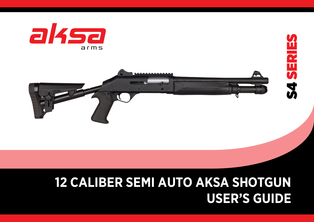# **12 CALIBER SEMI AUTO AKSA SHOTGUN USER'S GUIDE**



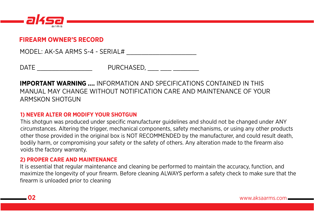# **FIREARMOWNER'SRECORD**

MODEL: AK-SA ARMS S-4 - SERIAL#

DATE \_\_\_\_\_\_\_\_\_\_\_\_\_\_\_ PURCHASED, \_\_\_ \_\_\_ \_\_\_\_\_\_\_

# **IMPORTANT WARNING....** INFORMATION AND SPECIFICATIONS CONTAINED IN THIS MANUAL MAY CHANGE WITHOUT NOTIFICATION CARE AND MAINTENANCE OF YOUR ARMSKON SHOTGUN

#### **1) NEVER ALTER OR MODIFY YOUR SHOTGUN**

This shotgun was produced under specific manufacturer guidelines and should not be changed under ANY circumstances. Altering the trigger, mechanical components, safety mechanisms, or using any other products other those provided in the original box is NOT RECOMMENDED by the manufacturer, and could result death, bodily harm, or compromising your safety or the safety of others. Any alteration made to the firearm also voids the factory warranty.

#### **2) PROPER CARE AND MAINTENANCE**

It is essential that regular maintenance and cleaning be performed to maintain the accuracy, function, and maximize the longevity of your firearm. Before cleaning ALWAYS perform a safety check to make sure that the firearm is unloaded prior to cleaning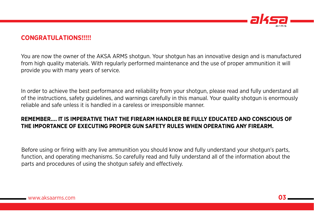

# **CONGRATULATIONS!!!!!**

You are now the owner of the AKSA ARMS shotgun. Your shotgun has an innovative design and is manufactured from high quality materials. With regularly performed maintenance and the use of proper ammunition it will provide you with many years of service.

In order to achieve the best performance and reliability from your shotgun, please read and fully understand all of the instructions, safety guidelines, and warnings carefully in this manual. Your quality shotgun is enormously reliable and safe unless it is handled in a careless or irresponsible manner.

#### **REMEMBER....ITISIMPERATIVETHATTHEFIREARMHANDLERBEFULLYEDUCATEDANDCONSCIOUSOF** THE IMPORTANCE OF EXECUTING PROPER GUN SAFETY RULES WHEN OPERATING ANY FIREARM.

Before using or firing with any live ammunition you should know and fully understand your shotgun's parts, function, and operating mechanisms. So carefully read and fully understand all of the information about the parts and procedures of using the shotgun safely and effectively.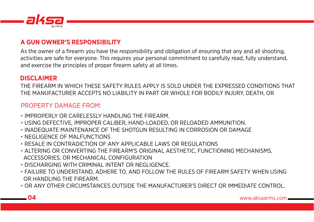

# **AGUNOWNER'SRESPONSIBILITY**

As the owner of a firearm you have the responsibility and obligation of ensuring that any and all shooting, activities are safe for everyone. This requires your personal commitment to carefully read, fully understand, and exercise the principles of proper firearm safety at all times.

# **DISCLAIMER**

THE FIREARM IN WHICH THESE SAFETY RULES APPLY IS SOLD UNDER THE EXPRESSED CONDITIONS THAT THE MANUFACTURER ACCEPTS NO LIABILITY IN PART OR WHOLE FOR BODILY INJURY, DEATH, OR

# PROPERTY DAMAGE FROM:

- IMPROPERLY OR CARELESSLY HANDLING THE FIREARM.
- USING DEFECTIVE, IMPROPER CALIBER, HAND-LOADED, OR RELOADED AMMUNITION.
- INADEQUATE MAINTENANCE OF THE SHOTGUN RESULTING IN CORROSION OR DAMAGE
- NEGLIGENCE OF MALFUNCTIONS
- RESALE IN CONTRADICTION OF ANY APPLICABLE LAWS OR REGULATIONS
- ALTERING OR CONVERTING THE FIREARM'S ORIGINAL AESTHETIC, FUNCTIONING MECHANISMS, ACCESSORIES, OR MECHANICAL CONFIGURATION
- DISCHARGING WITH CRIMINAL INTENT OR NEGLIGENCE.
- FAILURE TO UNDERSTAND, ADHERE TO, AND FOLLOW THE RULES OF FIREARM SAFETY WHEN USING OR HANDLING THE FIREARM.
- OR ANY OTHER CIRCUMSTANCES OUTSIDE THE MANUFACTURER'S DIRECT OR IMMEDIATE CONTROL.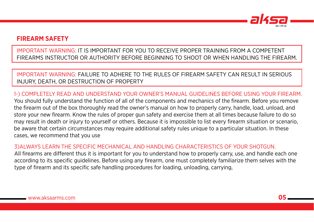

# **FIREARMSAFETY**

IMPORTANT WARNING: IT IS IMPORTANT FOR YOU TO RECEIVE PROPER TRAINING FROM A COMPETENT FIREARMS INSTRUCTOR OR AUTHORITY BEFORE BEGINNING TO SHOOT OR WHEN HANDLING THE FIREARM.

IMPORTANT WARNING: FAILURE TO ADHERE TO THE RULES OF FIREARM SAFETY CAN RESULT IN SERIOUS INJURY, DEATH, OR DESTRUCTION OF PROPERTY

1-) COMPLETELY READ AND UNDERSTAND YOUR OWNER'S MANUAL GUIDELINES BEFORE USING YOUR FIREARM. You should fully understand the function of all of the components and mechanics of the firearm. Before you remove the firearm out of the box thoroughly read the owner's manual on how to properly carry, handle, load, unload, and store your new firearm. Know the rules of proper gun safety and exercise them at all times because failure to do so may result in death or injury to yourself or others. Because it is impossible to list every firearm situation or scenario, be aware that certain circumstances may require additional safety rules unique to a particular situation. In these cases, we recommend that you use

#### 3)ALWAYS LEARN THE SPECIFIC MECHANICAL AND HANDLING CHARACTERISTICS OF YOUR SHOTGUN.

All firearms are different thus it is important for you to understand how to properly carry, use, and handle each one according to its specific guidelines. Before using any firearm, one must completely familiarize them selves with the type of firearm and its specific safe handling procedures for loading, unloading, carrying,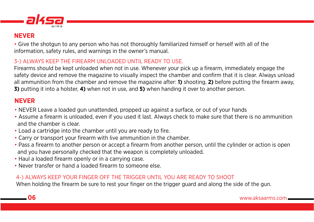

# **NEVER**

• Give the shotgun to any person who has not thoroughly familiarized himself or herself with all of the information, safety rules, and warnings in the owner's manual.

#### 3-) ALWAYS KEEP THE FIREARM UNLOADED UNTIL READY TO USE.

Firearms should be kept unloaded when not in use. Whenever your pick up a firearm, immediately engage the safety device and remove the magazine to visually inspect the chamber and confirm that it is clear. Always unload all ammunition from the chamber and remove the magazine after: **1)** shooting, **2)** before putting the firearm away, **3)** putting it into a holster, **4)** when not in use, and **5)** when handing it over to another person.

# **NEVER**

- NEVER Leave a loaded gun unattended, propped up against a surface, or out of your hands
- Assume a firearm is unloaded, even if you used it last. Always check to make sure that there is no ammunition and the chamber is clear.
- Load a cartridge into the chamber until you are ready to fire.
- Carry or transport your firearm with live ammunition in the chamber.
- Pass a firearm to another person or accept a firearm from another person, until the cylinder or action is open and you have personally checked that the weapon is completely unloaded.
- Haul a loaded firearm openly or in a carrying case.
- Never transfer or hand a loaded firearm to someone else.

#### 4-) ALWAYS KEEP YOUR FINGER OFF THE TRIGGER UNTIL YOU ARE READY TO SHOOT

When holding the firearm be sure to rest your finger on the trigger guard and along the side of the gun.

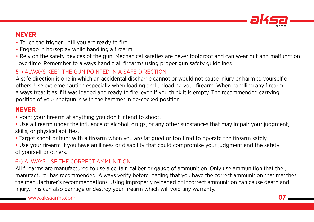

# **NEVER**

- Touch the trigger until you are ready to fire.
- Engage in horseplay while handling a firearm
- Rely on the safety devices of the gun. Mechanical safeties are never foolproof and can wear out and malfunction overtime. Remember to always handle all firearms using proper gun safety guidelines.

#### 5-) ALWAYS KEEP THE GUN POINTED IN A SAFE DIRECTION.

A safe direction is one in which an accidental discharge cannot or would not cause injury or harm to yourself or others. Use extreme caution especially when loading and unloading your firearm. When handling any firearm always treat it as if it was loaded and ready to fire, even if you think it is empty. The recommended carrying position of your shotgun is with the hammer in de-cocked position.

# **NEVER**

- Point your firearm at anything you don't intend to shoot.
- Use a firearm under the influence of alcohol, drugs, or any other substances that may impair your judgment, skills, or physical abilities.
- Target shoot or hunt with a firearm when you are fatigued or too tired to operate the firearm safely.

• Use your firearm if you have an illness or disability that could compromise your judgment and the safety of yourself or others.

#### 6-) ALWAYS USE THE CORRECT AMMUNITION.

All firearms are manufactured to use a certain caliber or gauge of ammunition. Only use ammunition that the , manufacturer has recommended. Always verify before loading that you have the correct ammunition that matches the manufacturer's recommendations. Using improperly reloaded or incorrect ammunition can cause death and injury. This can also damage or destroy your firearm which will void any warranty.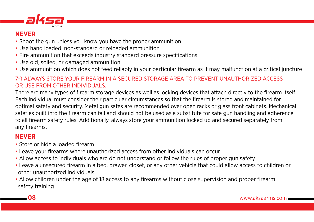

# **NEVER**

- Shoot the gun unless you know you have the proper ammunition.
- Use hand loaded, non-standard or reloaded ammunition
- Fire ammunition that exceeds industry standard pressure specifications.
- Use old, soiled, or damaged ammunition
- Use ammunition which does not feed reliably in your particular firearm as it may malfunction at a critical juncture

#### 7-) ALWAYS STORE YOUR FIREARM IN A SECURED STORAGE AREA TO PREVENT UNAUTHORIZED ACCESS OR USE FROM OTHER INDIVIDUALS.

There are many types of firearm storage devices as well as locking devices that attach directly to the firearm itself. Each individual must consider their particular circumstances so that the firearm is stored and maintained for optimal safety and security. Metal gun safes are recommended over open racks or glass front cabinets. Mechanical safeties built into the firearm can fail and should not be used as a substitute for safe gun handling and adherence to all firearm safety rules. Additionally, always store your ammunition locked up and secured separately from any firearms.

# **NEVER**

- Store or hide a loaded firearm
- Leave your firearms where unauthorized access from other individuals can occur.
- Allow access to individuals who are do not understand or follow the rules of proper gun safety
- Leave a unsecured firearm in a bed, drawer, closet, or any other vehicle that could allow access to children or other unauthorized individuals
- Allow children under the age of 18 access to any firearms without close supervision and proper firearm safety training.

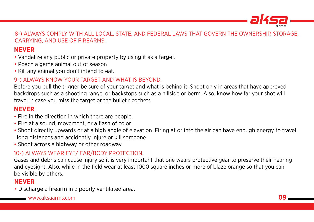

8-) ALWAYS COMPLY WITH ALL LOCAL. STATE, AND FEDERAL LAWS THAT GOVERN THE OWNERSHIP, STORAGE, CARRYING, AND USE OF FIREARMS.

# **NEVER**

- Vandalize any public or private property by using it as a target.
- Poach a game animal out of season
- Kill any animal you don't intend to eat.

# 9-) ALWAYS KNOW YOUR TARGET AND WHAT IS BEYOND.

Before you pull the trigger be sure of your target and what is behind it. Shoot only in areas that have approved backdrops such as a shooting range, or backstops such as a hillside or berm. Also, know how far your shot will travel in case you miss the target or the bullet ricochets.

# **NEVER**

- Fire in the direction in which there are people.
- Fire at a sound, movement, or a flash of color
- Shoot directly upwards or at a high angle of elevation. Firing at or into the air can have enough energy to travel long distances and accidently injure or kill someone.
- Shoot across a highway or other roadway.

#### 10-) ALWAYS WEAR EYE/ EAR/BODY PROTECTION.

Gases and debris can cause injury so it is very important that one wears protective gear to preserve their hearing and eyesight. Also, while in the field wear at least 1000 square inches or more of blaze orange so that you can be visible by others.

# **NEVER**

• Discharge a firearm in a poorly ventilated area.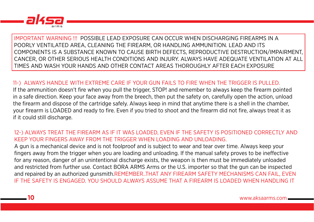

IMPORTANT WARNING !!! POSSIBLE LEAD EXPOSURE CAN OCCUR WHEN DISCHARGING FIREARMS IN A POORLY VENTILATED AREA, CLEANING THE FIREARM, OR HANDLING AMMUNITION. LEAD AND ITS COMPONENTS IS A SUBSTANCE KNOWN TO CAUSE BIRTH DEFECTS, REPRODUCTIVE DESTRUCTION/IMPAIRMENT, CANCER, OR OTHER SERIOUS HEALTH CONDITIONS AND INJURY. ALWAYS HAVE ADEQUATE VENTILATION AT ALL TIMES AND WASH YOUR HANDS AND OTHER CONTACT AREAS THOROUGHLY AFTER EACH EXPOSURE

#### 11-) ALWAYS HANDLE WITH EXTREME CARE IF YOUR GUN FAILS TO FIRE WHEN THE TRIGGER IS PULLED.

If the ammunition doesn't fire when you pull the trigger, STOP! and remember to always keep the firearm pointed in a safe direction. Keep your face away from the breech, then put the safety on, carefully open the action, unload the firearm and dispose of the cartridge safely. Always keep in mind that anytime there is a shell in the chamber, your firearm is LOADED and ready to fire. Even if you tried to shoot and the firearm did not fire, always treat it as if it could still discharge.

#### 12-) ALWAYS TREAT THE FIREARM AS IF IT WAS LOADED, EVEN IF THE SAFETY IS POSITIONED CORRECTLY AND KEEP YOUR FINGERS AWAY FROM THE TRIGGER WHEN LOADING AND UNLOADING.

A gun is a mechanical device and is not foolproof and is subject to wear and tear over time. Always keep your fingers away from the trigger when you are loading and unloading. If the manual safety proves to be ineffective for any reason, danger of an unintentional discharge exists, the weapon is then must be immediately unloaded and restricted from further use. Contact BORA ARMS Arms or the U.S. importer so that the gun can be inspected and repaired by an authorized gunsmith.REMEMBER..THAT ANY FIREARM SAFETY MECHANISMS CAN FAIL, EVEN IF THE SAFETY IS ENGAGED. YOU SHOULD ALWAYS ASSUME THAT A FIREARM IS LOADED WHEN HANDLING IT

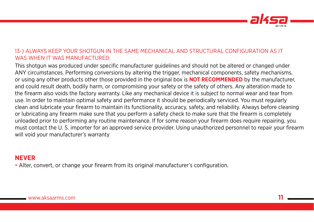

#### 13-) ALWAYS KEEP YOUR SHOTGUN IN THE SAME MECHANICAL AND STRUCTURAL CONFIGURATION AS IT WAS WHEN IT WAS MANUFACTURED.

This shotgun was produced under specific manufacturer guidelines and should not be altered or changed under ANY circumstances. Performing conversions by altering the trigger, mechanical components, safety mechanisms, or using any other products other those provided in the original box is **NOTRECOMMENDED** by the manufacturer, and could result death, bodily harm, or compromising your safety or the safety of others. Any alteration made to the firearm also voids the factory warranty. Like any mechanical device it is subject to normal wear and tear from use. In order to maintain optimal safety and performance it should be periodically serviced. You must regularly clean and lubricate your firearm to maintain its functionality, accuracy, safety, and reliability. Always before cleaning or lubricating any firearm make sure that you perform a safety check to make sure that the firearm is completely unloaded prior to performing any routine maintenance. If for some reason your firearm does require repairing, you must contact the U. S. importer for an approved service provider. Using unauthorized personnel to repair your firearm will void your manufacturer's warranty

#### **NEVER**

• Alter, convert, or change your firearm from its original manufacturer's configuration.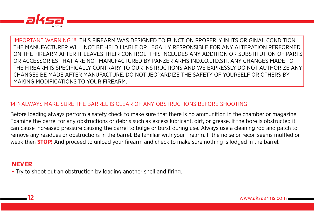

IMPORTANT WARNING !!! THIS FIREARM WAS DESIGNED TO FUNCTION PROPERLY IN ITS ORIGINAL CONDITION. THE MANUFACTURER WILL NOT BE HELD LIABLE OR LEGALLY RESPONSIBLE FOR ANY ALTERATION PERFORMED ON THE FIREARM AFTER IT LEAVES THEIR CONTROL. THIS INCLUDES ANY ADDITION OR SUBSTITUTION OF PARTS OR ACCESSORIES THAT ARE NOT MANUFACTURED BY PANZER ARMS IND.CO.LTD.STI. ANY CHANGES MADE TO THE FIREARM IS SPECIFICALLY CONTRARY TO OUR INSTRUCTIONS AND WE EXPRESSLY DO NOT AUTHORIZE ANY CHANGES BE MADE AFTER MANUFACTURE. DO NOT JEOPARDIZE THE SAFETY OF YOURSELF OR OTHERS BY MAKING MODIFICATIONS TO YOUR FIREARM.

#### 14-) ALWAYS MAKE SURE THE BARREL IS CLEAR OF ANY OBSTRUCTIONS BEFORE SHOOTING.

Before loading always perform a safety check to make sure that there is no ammunition in the chamber or magazine. Examine the barrel for any obstructions or debris such as excess lubricant, dirt, or grease. If the bore is obstructed it can cause increased pressure causing the barrel to bulge or burst during use. Always use a cleaning rod and patch to remove any residues or obstructions in the barrel. Be familiar with your firearm. If the noise or recoil seems muffled or weak then **STOP!** And proceed to unload your firearm and check to make sure nothing is lodged in the barrel.

#### **NEVER**

• Try to shoot out an obstruction by loading another shell and firing.

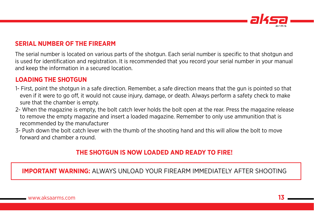

# **SERIAL NUMBER OF THE FIREARM**

The serial number is located on various parts of the shotgun. Each serial number is specific to that shotgun and is used for identification and registration. It is recommended that you record your serial number in your manual and keep the information in a secured location.

#### **LOADINGTHESHOTGUN**

- 1- First, point the shotgun in a safe direction. Remember, a safe direction means that the gun is pointed so that even if it were to go off, it would not cause injury, damage, or death. Always perform a safety check to make sure that the chamber is empty.
- 2- When the magazine is empty, the bolt catch lever holds the bolt open at the rear. Press the magazine release to remove the empty magazine and insert a loaded magazine. Remember to only use ammunition that is recommended by the manufacturer
- 3- Push down the bolt catch lever with the thumb of the shooting hand and this will allow the bolt to move forward and chamber a round.

#### **THE SHOTGUN IS NOW LOADED AND READY TO FIRE!**

**IMPORTANTWARNING:**ALWAYS UNLOAD YOUR FIREARM IMMEDIATELY AFTER SHOOTING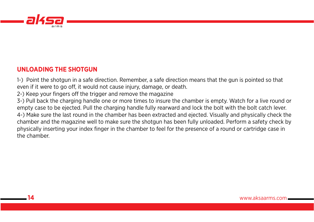

# **UNLOADINGTHESHOTGUN**

1-) Point the shotgun in a safe direction. Remember, a safe direction means that the gun is pointed so that even if it were to go off, it would not cause injury, damage, or death.

2-) Keep your fingers off the trigger and remove the magazine

3-) Pull back the charging handle one or more times to insure the chamber is empty. Watch for a live round or empty case to be ejected. Pull the charging handle fully rearward and lock the bolt with the bolt catch lever. 4-) Make sure the last round in the chamber has been extracted and ejected. Visually and physically check the chamber and the magazine well to make sure the shotgun has been fully unloaded. Perform a safety check by physically inserting your index finger in the chamber to feel for the presence of a round or cartridge case in the chamber.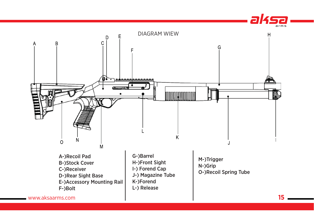aksa arms

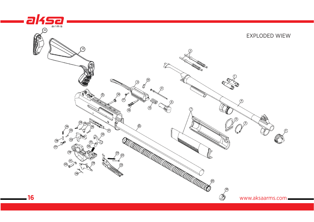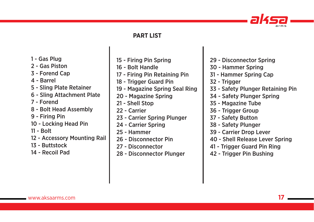

#### **PART LIST**

- 1 Gas Plug
- 2 Gas Piston
- 3 Forend Cap
- 4 Barrel
- 5 Sling Plate Retainer
- 6 Sling Attachment Plate
- 7 Forend
- 8 Bolt Head Assembly
- 9 Firing Pin
- 10 Locking Head Pin
- 11 Bolt
- 12 Accessory Mounting Rail
- 13 Buttstock
- 14 Recoil Pad
- 15 Firing Pin Spring 16 - Bolt Handle 17 - Firing Pin Retaining Pin 18 - Trigger Guard Pin 19 - Magazine Spring Seal Ring 20 - Magazine Spring 21 - Shell Stop 22 - Carrier 23 - Carrier Spring Plunger 24 - Carrier Spring 25 - Hammer 26 - Disconnector Pin 27 - Disconnector
	- 28 Disconnector Plunger
- 29 Disconnector Spring
- 30 Hammer Spring
- 31 Hammer Spring Cap
- 32 Trigger
- 33 Safety Plunger Retaining Pin
- 34 Safety Plunger Spring
- 35 Magazine Tube
- 36 Trigger Group
- 37 Safety Button
- 38 Safety Plunger
- 39 Carrier Drop Lever
- 40 Shell Release Lever Spring
- 41 Trigger Guard Pin Ring
- 42 Trigger Pin Bushing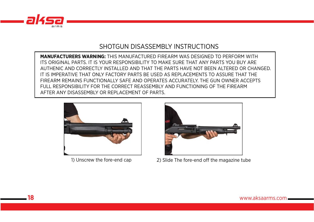

# SHOTGUN DISASSEMBLY INSTRUCTIONS

**MANUFACTURERSWARNING:** THIS MANUFACTURED FIREARM WAS DESIGNED TO PERFORM WITH ITS ORIGINAL PARTS. IT IS YOUR RESPONSIBILITY TO MAKE SURE THAT ANY PARTS YOU BUY ARE AUTHENIC AND CORRECTLY INSTALLED AND THAT THE PARTS HAVE NOT BEEN ALTERED OR CHANGED. IT IS IMPERATIVE THAT ONLY FACTORY PARTS BE USED AS REPLACEMENTS TO ASSURE THAT THE FIREARM REMAINS FUNCTIONALLY SAFE AND OPERATES ACCURATELY. THE GUN OWNER ACCEPTS FULL RESPONSIBILITY FOR THE CORRECT REASSEMBLY AND FUNCTIONING OF THE FIREARM AFTER ANY DISASSEMBLY OR REPLACEMENT OF PARTS.





1) Unscrew the fore-end cap 2) Slide The fore-end off the magazine tube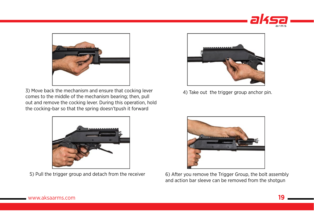



3) Move back the mechanism and ensure that cocking lever comes to the middle of the mechanism bearing; then, pull out and remove the cocking lever. During this operation, hold the cocking-bar so that the spring doesn'tpush it forward





4) Take out the trigger group anchor pin.



5) Pull the trigger group and detach from the receiver 6) After you remove the Trigger Group, the bolt assembly and action bar sleeve can be removed from the shotgun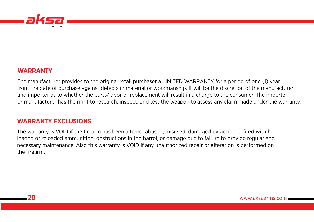

#### **WARRANTY**

The manufacturer provides to the original retail purchaser a LIMITED WARRANTY for a period of one (1) year from the date of purchase against defects in material or workmanship. It will be the discretion of the manufacturer and importer as to whether the parts/labor or replacement will result in a charge to the consumer. The importer or manufacturer has the right to research, inspect, and test the weapon to assess any claim made under the warranty.

#### **WARRANTYEXCLUSIONS**

The warranty is VOID if the firearm has been altered, abused, misused, damaged by accident, fired with hand loaded or reloaded ammunition, obstructions in the barrel, or damage due to failure to provide regular and necessary maintenance. Also this warranty is VOID if any unauthorized repair or alteration is performed on the firearm.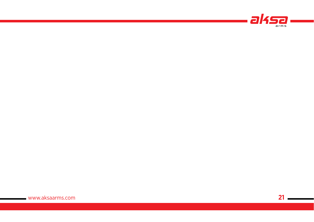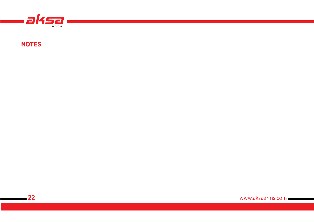

# **NOTES**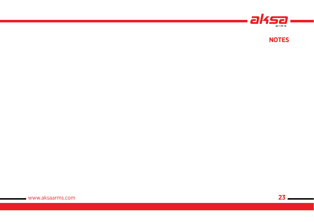

# **NOTES**